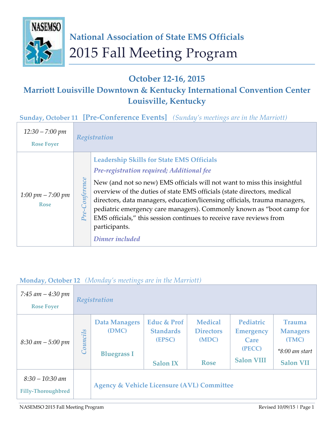

## **October 12-16, 2015**

# **Marriott Louisville Downtown & Kentucky International Convention Center Louisville, Kentucky**

**Sunday, October 11 [Pre-Conference Events]** *(Sunday's meetings are in the Marriott)*

| $12:30 - 7:00 \;pm$<br><b>Rose Foyer</b> | Registration                                                                                                                                                                                                                                                                                                                                                                                                                                                                                                                                        |
|------------------------------------------|-----------------------------------------------------------------------------------------------------------------------------------------------------------------------------------------------------------------------------------------------------------------------------------------------------------------------------------------------------------------------------------------------------------------------------------------------------------------------------------------------------------------------------------------------------|
| 1:00 pm $-$ 7:00 pm<br><b>Rose</b>       | <b>Leadership Skills for State EMS Officials</b><br>Pre-registration required; Additional fee<br><b>Conference</b><br>New (and not so new) EMS officials will not want to miss this insightful<br>overview of the duties of state EMS officials (state directors, medical<br>directors, data managers, education/licensing officials, trauma managers,<br>pediatric emergency care managers). Commonly known as "boot camp for<br>$Pre-$<br>EMS officials," this session continues to receive rave reviews from<br>participants.<br>Dinner included |

### **Monday, October 12** *(Monday's meetings are in the Marriott)*

| 7:45 am $-4:30$ pm<br><b>Rose Foyer</b>        | Registration    |                                                       |                                                              |                                                            |                                                                      |                                                                                   |  |
|------------------------------------------------|-----------------|-------------------------------------------------------|--------------------------------------------------------------|------------------------------------------------------------|----------------------------------------------------------------------|-----------------------------------------------------------------------------------|--|
| $8:30 \text{ am} - 5:00 \text{ pm}$            | <b>Councils</b> | <b>Data Managers</b><br>(DMC)<br><b>Bluegrass I</b>   | Educ & Prof<br><b>Standards</b><br>(EPSC)<br><b>Salon IX</b> | <b>Medical</b><br><b>Directors</b><br>(MDC)<br><b>Rose</b> | Pediatric<br><b>Emergency</b><br>Care<br>(PECC)<br><b>Salon VIII</b> | <b>Trauma</b><br><b>Managers</b><br>(TMC)<br>$*8:00$ am start<br><b>Salon VII</b> |  |
| $8:30 - 10:30$ am<br><b>Filly-Thoroughbred</b> |                 | <b>Agency &amp; Vehicle Licensure (AVL) Committee</b> |                                                              |                                                            |                                                                      |                                                                                   |  |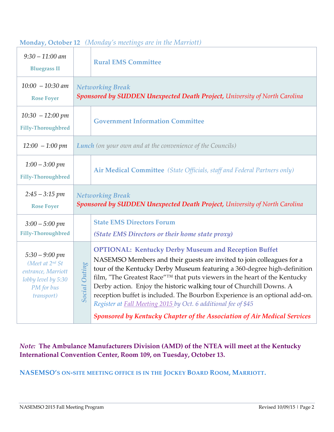|                      | <b>Rural EMS Committee</b>                                                                                                                                                                                                                                                                                                                                                                                                                                                                                                                                                                                           |  |  |  |  |
|----------------------|----------------------------------------------------------------------------------------------------------------------------------------------------------------------------------------------------------------------------------------------------------------------------------------------------------------------------------------------------------------------------------------------------------------------------------------------------------------------------------------------------------------------------------------------------------------------------------------------------------------------|--|--|--|--|
|                      | <b>Networking Break</b><br>Sponsored by SUDDEN Unexpected Death Project, University of North Carolina                                                                                                                                                                                                                                                                                                                                                                                                                                                                                                                |  |  |  |  |
|                      | <b>Government Information Committee</b>                                                                                                                                                                                                                                                                                                                                                                                                                                                                                                                                                                              |  |  |  |  |
|                      | <b>Lunch</b> (on your own and at the convenience of the Councils)                                                                                                                                                                                                                                                                                                                                                                                                                                                                                                                                                    |  |  |  |  |
|                      | Air Medical Committee (State Officials, staff and Federal Partners only)                                                                                                                                                                                                                                                                                                                                                                                                                                                                                                                                             |  |  |  |  |
|                      | <b>Networking Break</b><br>Sponsored by SUDDEN Unexpected Death Project, University of North Carolina                                                                                                                                                                                                                                                                                                                                                                                                                                                                                                                |  |  |  |  |
|                      | <b>State EMS Directors Forum</b>                                                                                                                                                                                                                                                                                                                                                                                                                                                                                                                                                                                     |  |  |  |  |
|                      | (State EMS Directors or their home state proxy)                                                                                                                                                                                                                                                                                                                                                                                                                                                                                                                                                                      |  |  |  |  |
| <b>Social Outing</b> | <b>OPTIONAL: Kentucky Derby Museum and Reception Buffet</b><br>NASEMSO Members and their guests are invited to join colleagues for a<br>tour of the Kentucky Derby Museum featuring a 360-degree high-definition<br>film, "The Greatest Race" <sup>™</sup> that puts viewers in the heart of the Kentucky<br>Derby action. Enjoy the historic walking tour of Churchill Downs. A<br>reception buffet is included. The Bourbon Experience is an optional add-on.<br>Register at <b>Fall Meeting 2015</b> by Oct. 6 additional fee of \$45<br>Sponsored by Kentucky Chapter of the Association of Air Medical Services |  |  |  |  |
|                      |                                                                                                                                                                                                                                                                                                                                                                                                                                                                                                                                                                                                                      |  |  |  |  |

#### **Monday, October 12** *(Monday's meetings are in the Marriott)*

## *Note:* **The Ambulance Manufacturers Division (AMD) of the NTEA will meet at the Kentucky International Convention Center, Room 109, on Tuesday, October 13.**

#### **NASEMSO'S ON-SITE MEETING OFFICE IS IN THE JOCKEY BOARD ROOM, MARRIOTT.**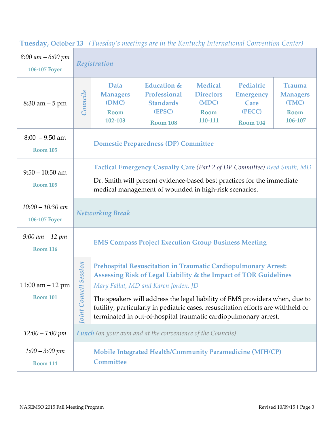| $8:00 \text{ am} - 6:00 \text{ pm}$<br><b>106-107 Foyer</b> | <b>Occurs 10</b> Tembouwy of meetings are no networking three mans convenient center )<br>Registration |                                                                                                                                                                                                                                                                                                                                                                                                                         |                                                                                                |                                                                |                                                                    |                                                                     |
|-------------------------------------------------------------|--------------------------------------------------------------------------------------------------------|-------------------------------------------------------------------------------------------------------------------------------------------------------------------------------------------------------------------------------------------------------------------------------------------------------------------------------------------------------------------------------------------------------------------------|------------------------------------------------------------------------------------------------|----------------------------------------------------------------|--------------------------------------------------------------------|---------------------------------------------------------------------|
| $8:30$ am $-5$ pm                                           | Councils                                                                                               | Data<br><b>Managers</b><br>(DMC)<br>Room<br>102-103                                                                                                                                                                                                                                                                                                                                                                     | <b>Education &amp;</b><br><b>Professional</b><br><b>Standards</b><br>(EPSC)<br><b>Room 108</b> | <b>Medical</b><br><b>Directors</b><br>(MDC)<br>Room<br>110-111 | Pediatric<br><b>Emergency</b><br>Care<br>(PECC)<br><b>Room 104</b> | <b>Trauma</b><br><b>Managers</b><br>(TMC)<br><b>Room</b><br>106-107 |
| $8:00 - 9:50$ am<br><b>Room 105</b>                         |                                                                                                        | <b>Domestic Preparedness (DP) Committee</b>                                                                                                                                                                                                                                                                                                                                                                             |                                                                                                |                                                                |                                                                    |                                                                     |
| $9:50 - 10:50$ am<br><b>Room 105</b>                        |                                                                                                        | Tactical Emergency Casualty Care (Part 2 of DP Committee) Reed Smith, MD<br>Dr. Smith will present evidence-based best practices for the immediate<br>medical management of wounded in high-risk scenarios.                                                                                                                                                                                                             |                                                                                                |                                                                |                                                                    |                                                                     |
| $10:00 - 10:30$ am<br><b>106-107 Foyer</b>                  |                                                                                                        | <b>Networking Break</b>                                                                                                                                                                                                                                                                                                                                                                                                 |                                                                                                |                                                                |                                                                    |                                                                     |
| $9:00$ am $-12$ pm<br><b>Room 116</b>                       |                                                                                                        | <b>EMS Compass Project Execution Group Business Meeting</b>                                                                                                                                                                                                                                                                                                                                                             |                                                                                                |                                                                |                                                                    |                                                                     |
| $11:00$ am $-12$ pm<br><b>Room 101</b>                      | <b>Session</b><br>$\ddot{u}$<br><b>Coint Counc</b>                                                     | <b>Prehospital Resuscitation in Traumatic Cardiopulmonary Arrest:</b><br>Assessing Risk of Legal Liability & the Impact of TOR Guidelines<br>Mary Fallat, MD and Karen Jorden, JD<br>The speakers will address the legal liability of EMS providers when, due to<br>futility, particularly in pediatric cases, resuscitation efforts are withheld or<br>terminated in out-of-hospital traumatic cardiopulmonary arrest. |                                                                                                |                                                                |                                                                    |                                                                     |
| $12:00 - 1:00 \; pm$                                        | <b>Lunch</b> (on your own and at the convenience of the Councils)                                      |                                                                                                                                                                                                                                                                                                                                                                                                                         |                                                                                                |                                                                |                                                                    |                                                                     |
| $1:00 - 3:00 \; pm$<br><b>Room 114</b>                      |                                                                                                        | <b>Mobile Integrated Health/Community Paramedicine (MIH/CP)</b><br><b>Committee</b>                                                                                                                                                                                                                                                                                                                                     |                                                                                                |                                                                |                                                                    |                                                                     |

**Tuesday, October 13** *(Tuesday's meetings are in the Kentucky International Convention Center)*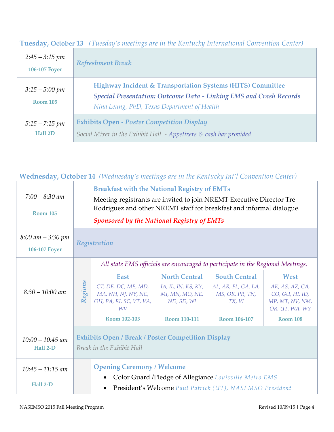| $2:45 - 3:15$ pm<br><b>106-107 Foyer</b> | <b>Refreshment Break</b>                                                                                                                                                        |  |  |  |
|------------------------------------------|---------------------------------------------------------------------------------------------------------------------------------------------------------------------------------|--|--|--|
| $3:15 - 5:00 \; pm$<br><b>Room 105</b>   | Highway Incident & Transportation Systems (HITS) Committee<br>Special Presentation: Outcome Data - Linking EMS and Crash Records<br>Nina Leung, PhD, Texas Department of Health |  |  |  |
| $5:15 - 7:15 \; pm$<br>Hall 2D           | <b>Exhibits Open - Poster Competition Display</b><br>Social Mixer in the Exhibit Hall $-$ Appetizers $\mathcal E$ cash bar provided                                             |  |  |  |

**Tuesday, October 13** *(Tuesday's meetings are in the Kentucky International Convention Center)*

## **Wednesday, October 14** *(Wednesday's meetings are in the Kentucky Int'l Convention Center)*

| $7:00 - 8:30$ am<br><b>Room 105</b>          |         | <b>Breakfast with the National Registry of EMTs</b><br>Meeting registrants are invited to join NREMT Executive Director Tré<br>Rodriguez and other NREMT staff for breakfast and informal dialogue.<br><b>Sponsored by the National Registry of EMTs</b> |                                                                              |                                                                          |                                                                                 |  |
|----------------------------------------------|---------|----------------------------------------------------------------------------------------------------------------------------------------------------------------------------------------------------------------------------------------------------------|------------------------------------------------------------------------------|--------------------------------------------------------------------------|---------------------------------------------------------------------------------|--|
| $8:00$ am $-3:30$ pm<br><b>106-107 Foyer</b> |         | Registration                                                                                                                                                                                                                                             |                                                                              |                                                                          |                                                                                 |  |
|                                              |         | All state EMS officials are encouraged to participate in the Regional Meetings.                                                                                                                                                                          |                                                                              |                                                                          |                                                                                 |  |
| $8:30 - 10:00$ am                            | Regions | <b>East</b><br>CT, DE, DC, ME, MD,<br>MA, NH, NJ, NY, NC,<br>OH, PA, RI, SC, VT, VA,<br>WV                                                                                                                                                               | <b>North Central</b><br>IA, IL, IN, KS, KY,<br>MI, MN, MO, NE,<br>ND, SD, WI | <b>South Central</b><br>AL, AR, FL, GA, LA,<br>MS, OK, PR, TN,<br>TX, VI | West<br>AK, AS, AZ, CA,<br>CO, GU, HI, ID,<br>MP, MT, NV, NM,<br>OR, UT, WA, WY |  |
|                                              |         | Room 102-103                                                                                                                                                                                                                                             | Room 110-111                                                                 | Room 106-107                                                             | <b>Room 108</b>                                                                 |  |
| $10:00 - 10:45$ am<br>Hall 2-D               |         | <b>Exhibits Open / Break / Poster Competition Display</b><br>Break in the Exhibit Hall                                                                                                                                                                   |                                                                              |                                                                          |                                                                                 |  |
| $10:45 - 11:15$ am<br>Hall 2-D               |         | <b>Opening Ceremony / Welcome</b><br>Color Guard /Pledge of Allegiance Louisville Metro EMS<br>$\bullet$<br>President's Welcome Paul Patrick (UT), NASEMSO President                                                                                     |                                                                              |                                                                          |                                                                                 |  |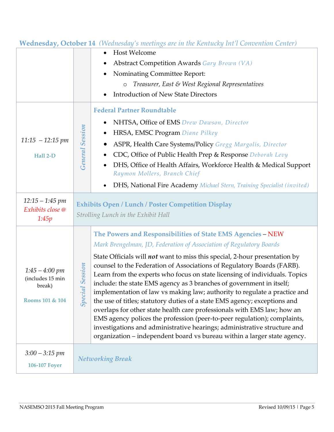|                                                                      |                           | <b>Wednesday, October 14</b> (Wednesday 5 meetings are in the Kentacky Int I Convention Center)                                                                                                                                                                                                                                                                                                                                                                                                                                                                                                                                                                                                                                                                                     |  |  |  |
|----------------------------------------------------------------------|---------------------------|-------------------------------------------------------------------------------------------------------------------------------------------------------------------------------------------------------------------------------------------------------------------------------------------------------------------------------------------------------------------------------------------------------------------------------------------------------------------------------------------------------------------------------------------------------------------------------------------------------------------------------------------------------------------------------------------------------------------------------------------------------------------------------------|--|--|--|
|                                                                      |                           | <b>Host Welcome</b><br>$\bullet$                                                                                                                                                                                                                                                                                                                                                                                                                                                                                                                                                                                                                                                                                                                                                    |  |  |  |
|                                                                      |                           | <b>Abstract Competition Awards Gary Brown (VA)</b>                                                                                                                                                                                                                                                                                                                                                                                                                                                                                                                                                                                                                                                                                                                                  |  |  |  |
|                                                                      |                           | Nominating Committee Report:                                                                                                                                                                                                                                                                                                                                                                                                                                                                                                                                                                                                                                                                                                                                                        |  |  |  |
|                                                                      |                           | Treasurer, East & West Regional Representatives<br>$\circ$                                                                                                                                                                                                                                                                                                                                                                                                                                                                                                                                                                                                                                                                                                                          |  |  |  |
|                                                                      |                           | <b>Introduction of New State Directors</b>                                                                                                                                                                                                                                                                                                                                                                                                                                                                                                                                                                                                                                                                                                                                          |  |  |  |
|                                                                      |                           | <b>Federal Partner Roundtable</b>                                                                                                                                                                                                                                                                                                                                                                                                                                                                                                                                                                                                                                                                                                                                                   |  |  |  |
|                                                                      |                           | NHTSA, Office of EMS Drew Dawson, Director                                                                                                                                                                                                                                                                                                                                                                                                                                                                                                                                                                                                                                                                                                                                          |  |  |  |
|                                                                      | <b>General Session</b>    | HRSA, EMSC Program Diane Pilkey                                                                                                                                                                                                                                                                                                                                                                                                                                                                                                                                                                                                                                                                                                                                                     |  |  |  |
| $11:15 - 12:15 \text{ pm}$                                           |                           | ASPR, Health Care Systems/Policy Gregg Margolis, Director                                                                                                                                                                                                                                                                                                                                                                                                                                                                                                                                                                                                                                                                                                                           |  |  |  |
| Hall 2-D                                                             |                           | CDC, Office of Public Health Prep & Response Deborah Levy                                                                                                                                                                                                                                                                                                                                                                                                                                                                                                                                                                                                                                                                                                                           |  |  |  |
|                                                                      |                           | DHS, Office of Health Affairs, Workforce Health & Medical Support                                                                                                                                                                                                                                                                                                                                                                                                                                                                                                                                                                                                                                                                                                                   |  |  |  |
|                                                                      |                           | Raymon Mollers, Branch Chief                                                                                                                                                                                                                                                                                                                                                                                                                                                                                                                                                                                                                                                                                                                                                        |  |  |  |
|                                                                      |                           | DHS, National Fire Academy Michael Stern, Training Specialist (invited)                                                                                                                                                                                                                                                                                                                                                                                                                                                                                                                                                                                                                                                                                                             |  |  |  |
| $12:15 - 1:45$ pm                                                    |                           | <b>Exhibits Open / Lunch / Poster Competition Display</b>                                                                                                                                                                                                                                                                                                                                                                                                                                                                                                                                                                                                                                                                                                                           |  |  |  |
| Exhibits close @<br>1:45p                                            |                           | Strolling Lunch in the Exhibit Hall                                                                                                                                                                                                                                                                                                                                                                                                                                                                                                                                                                                                                                                                                                                                                 |  |  |  |
|                                                                      |                           |                                                                                                                                                                                                                                                                                                                                                                                                                                                                                                                                                                                                                                                                                                                                                                                     |  |  |  |
|                                                                      |                           | The Powers and Responsibilities of State EMS Agencies - NEW                                                                                                                                                                                                                                                                                                                                                                                                                                                                                                                                                                                                                                                                                                                         |  |  |  |
|                                                                      |                           | Mark Brengelman, JD, Federation of Association of Regulatory Boards                                                                                                                                                                                                                                                                                                                                                                                                                                                                                                                                                                                                                                                                                                                 |  |  |  |
| $1:45 - 4:00 \; pm$<br>(includes 15 min<br>break)<br>Rooms 101 & 104 | <b>Session</b><br>Special | State Officials will not want to miss this special, 2-hour presentation by<br>counsel to the Federation of Associations of Regulatory Boards (FARB).<br>Learn from the experts who focus on state licensing of individuals. Topics<br>include: the state EMS agency as 3 branches of government in itself;<br>implementation of law vs making law; authority to regulate a practice and<br>the use of titles; statutory duties of a state EMS agency; exceptions and<br>overlaps for other state health care professionals with EMS law; how an<br>EMS agency polices the profession (peer-to-peer regulation); complaints,<br>investigations and administrative hearings; administrative structure and<br>organization - independent board vs bureau within a larger state agency. |  |  |  |
| $3:00 - 3:15$ pm                                                     |                           |                                                                                                                                                                                                                                                                                                                                                                                                                                                                                                                                                                                                                                                                                                                                                                                     |  |  |  |
| <b>106-107 Foyer</b>                                                 |                           | <b>Networking Break</b>                                                                                                                                                                                                                                                                                                                                                                                                                                                                                                                                                                                                                                                                                                                                                             |  |  |  |

### **Wednesday, October 14** *(Wednesday's meetings are in the Kentucky Int'l Convention Center)*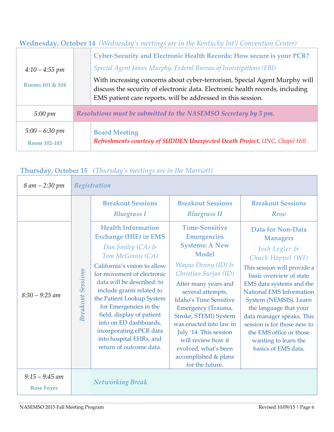| <b>Wednesday, October 14</b> (Wednesday's meetings are in the Kentucky Int'l Convention Center) |  |  |  |  |
|-------------------------------------------------------------------------------------------------|--|--|--|--|
|-------------------------------------------------------------------------------------------------|--|--|--|--|

| $4:10 - 4:55$ pm<br>Rooms 101 & 104 | <b>Cyber-Security and Electronic Health Records: How secure is your PCR?</b><br>Special Agent James Murphy, Federal Bureau of Investigations (FBI)<br>With increasing concerns about cyber-terrorism, Special Agent Murphy will<br>discuss the security of electronic data. Electronic health records, including<br>EMS patient care reports, will be addressed in this session. |
|-------------------------------------|----------------------------------------------------------------------------------------------------------------------------------------------------------------------------------------------------------------------------------------------------------------------------------------------------------------------------------------------------------------------------------|
| $5:00 \; pm$                        | Resolutions must be submitted to the NASEMSO Secretary by 5 pm.                                                                                                                                                                                                                                                                                                                  |
| $5:00 - 6:30 \; pm$<br>Room 102-103 | <b>Board Meeting</b><br>Refreshments courtesy of SUDDEN Unexpected Death Project, UNC, Chapel Hill                                                                                                                                                                                                                                                                               |

## **Thursday, October 15** *(Thursday's meetings are in the Marriott)*

| 8 am - 2:30 pm                        |                          | Registration                                                                                                                                                                                                                                                                                                                                                                                                                           |                                                                                                                                                                                                                                                                                                                                                                                                                |                                                                                                                                                                                                                                                                                                                                                                                               |  |  |  |  |
|---------------------------------------|--------------------------|----------------------------------------------------------------------------------------------------------------------------------------------------------------------------------------------------------------------------------------------------------------------------------------------------------------------------------------------------------------------------------------------------------------------------------------|----------------------------------------------------------------------------------------------------------------------------------------------------------------------------------------------------------------------------------------------------------------------------------------------------------------------------------------------------------------------------------------------------------------|-----------------------------------------------------------------------------------------------------------------------------------------------------------------------------------------------------------------------------------------------------------------------------------------------------------------------------------------------------------------------------------------------|--|--|--|--|
|                                       |                          | <b>Breakout Sessions</b><br><b>Bluegrass I</b>                                                                                                                                                                                                                                                                                                                                                                                         | <b>Breakout Sessions</b><br><b>Bluegrass II</b>                                                                                                                                                                                                                                                                                                                                                                | <b>Breakout Sessions</b><br>Rose                                                                                                                                                                                                                                                                                                                                                              |  |  |  |  |
| $8:30 - 9:25$ am                      | <b>Breakout Sessions</b> | <b>Health Information</b><br><b>Exchange (HIE) in EMS</b><br>Dan Smiley (CA) $\mathcal S$<br>Tom McGinnis (CA)<br>California's vision to allow<br>for movement of electronic<br>data will be described: to<br>include grants related to<br>the Patient Lookup System<br>for Emergencies in the<br>field, display of patient<br>info on ED dashboards,<br>incorporating ePCR data<br>into hospital EHRs, and<br>return of outcome data. | <b>Time-Sensitive</b><br><b>Emergencies</b><br><b>Systems: A New</b><br><b>Model</b><br>Wayne Denny (ID) &<br>Christian Surjan (ID)<br>After many years and<br>several attempts,<br><b>Idaho's Time Sensitive</b><br>Emergency (Trauma,<br>Stroke, STEMI) System<br>was enacted into law in<br>July '14. This session<br>will review how it<br>evolved, what's been<br>accomplished & plans<br>for the future. | Data for Non-Data<br><b>Managers</b><br>Josh Legler &<br>Chuck Happel (WI)<br>This session will provide a<br>basic overview of state<br>EMS data systems and the<br><b>National EMS Information</b><br>System (NEMSIS). Learn<br>the language that your<br>data manager speaks. This<br>session is for those new to<br>the EMS office or those<br>wanting to learn the<br>basics of EMS data. |  |  |  |  |
| $9:15 - 9:45$ am<br><b>Rose Foyer</b> |                          | <b>Networking Break</b>                                                                                                                                                                                                                                                                                                                                                                                                                |                                                                                                                                                                                                                                                                                                                                                                                                                |                                                                                                                                                                                                                                                                                                                                                                                               |  |  |  |  |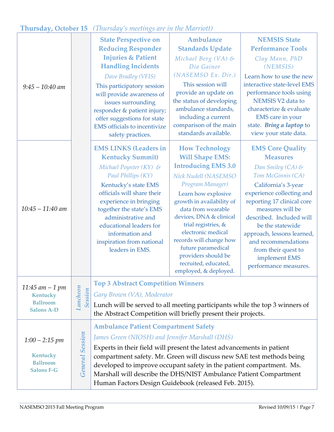## **Thursday, October 15** *(Thursday's meetings are in the Marriott)*

| $9:45 - 10:40$ am                                                           |                            | <b>State Perspective on</b><br><b>Reducing Responder</b><br><b>Injuries &amp; Patient</b><br><b>Handling Incidents</b><br>Dave Bradley (VFIS)<br>This participatory session<br>will provide awareness of<br>issues surrounding<br>responder & patient injury;<br>offer suggestions for state<br><b>EMS</b> officials to incentivize<br>safety practices.                                                                                               | Ambulance<br><b>Standards Update</b><br>Michael Berg $(VA)$ &<br>Dia Gainor<br>(NASEMSO Ex. Dir.)<br>This session will<br>provide an update on<br>the status of developing<br>ambulance standards,<br>including a current<br>comparison of the main<br>standards available.                                                                                                                          | <b>NEMSIS State</b><br><b>Performance Tools</b><br>Clay Mann, PhD<br>(NEMSIS)<br>Learn how to use the new<br>interactive state-level EMS<br>performance tools using<br>NEMSIS V2 data to<br>characterize & evaluate<br>EMS care in your<br>state. Bring a laptop to<br>view your state data.                                                                     |  |
|-----------------------------------------------------------------------------|----------------------------|--------------------------------------------------------------------------------------------------------------------------------------------------------------------------------------------------------------------------------------------------------------------------------------------------------------------------------------------------------------------------------------------------------------------------------------------------------|------------------------------------------------------------------------------------------------------------------------------------------------------------------------------------------------------------------------------------------------------------------------------------------------------------------------------------------------------------------------------------------------------|------------------------------------------------------------------------------------------------------------------------------------------------------------------------------------------------------------------------------------------------------------------------------------------------------------------------------------------------------------------|--|
| $10:45 - 11:40$ am                                                          |                            | <b>EMS LINKS (Leaders in</b><br><b>Kentucky Summit)</b><br>Michael Poynter $(KY)$ &<br>Paul Phillips (KY)<br>Kentucky's state EMS<br>officials will share their<br>experience in bringing<br>together the state's EMS<br>administrative and<br>educational leaders for<br>information and<br>inspiration from national<br>leaders in EMS.                                                                                                              | <b>How Technology</b><br><b>Will Shape EMS:</b><br><b>Introducing EMS 3.0</b><br>Nick Nudell (NASEMSO<br>Program Manager)<br>Learn how explosive<br>growth in availability of<br>data from wearable<br>devices, DNA & clinical<br>trial registries, &<br>electronic medical<br>records will change how<br>future paramedical<br>providers should be<br>recruited, educated,<br>employed, & deployed. | <b>EMS Core Quality</b><br><b>Measures</b><br>Dan Smiley (CA) &<br>Tom McGinnis (CA)<br>California's 3-year<br>experience collecting and<br>reporting 17 clinical core<br>measures will be<br>described. Included will<br>be the statewide<br>approach, lessons learned,<br>and recommendations<br>from their quest to<br>implement EMS<br>performance measures. |  |
| 11:45 am $-1$ pm<br>Kentucky<br><b>Ballroom</b><br><b>Salons A-D</b>        | Luncheon<br><b>Session</b> | <b>Top 3 Abstract Competition Winners</b><br>Gary Brown (VA), Moderator<br>Lunch will be served to all meeting participants while the top 3 winners of<br>the Abstract Competition will briefly present their projects.                                                                                                                                                                                                                                |                                                                                                                                                                                                                                                                                                                                                                                                      |                                                                                                                                                                                                                                                                                                                                                                  |  |
| $1:00 - 2:15$ pm<br><b>Kentucky</b><br><b>Ballroom</b><br><b>Salons F-G</b> | <b>General Session</b>     | <b>Ambulance Patient Compartment Safety</b><br>James Green (NIOSH) and Jennifer Marshall (DHS)<br>Experts in their field will present the latest advancements in patient<br>compartment safety. Mr. Green will discuss new SAE test methods being<br>developed to improve occupant safety in the patient compartment. Ms.<br>Marshall will describe the DHS/NIST Ambulance Patient Compartment<br>Human Factors Design Guidebook (released Feb. 2015). |                                                                                                                                                                                                                                                                                                                                                                                                      |                                                                                                                                                                                                                                                                                                                                                                  |  |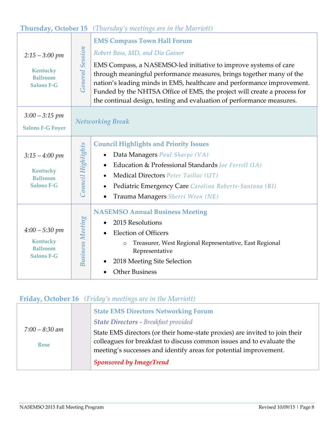## **Thursday, October 15** *(Thursday's meetings are in the Marriott)*

| $2:15 - 3:00 \;pm$<br>Kentucky<br><b>Ballroom</b><br><b>Salons F-G</b>         | <b>EMS Compass Town Hall Forum</b><br><b>General Session</b><br>Robert Bass, MD, and Dia Gainor<br>EMS Compass, a NASEMSO-led initiative to improve systems of care<br>through meaningful performance measures, brings together many of the<br>nation's leading minds in EMS, healthcare and performance improvement.<br>Funded by the NHTSA Office of EMS, the project will create a process for<br>the continual design, testing and evaluation of performance measures. |  |
|--------------------------------------------------------------------------------|----------------------------------------------------------------------------------------------------------------------------------------------------------------------------------------------------------------------------------------------------------------------------------------------------------------------------------------------------------------------------------------------------------------------------------------------------------------------------|--|
| $3:00 - 3:15$ pm<br><b>Salons F-G Foyer</b>                                    | <b>Networking Break</b>                                                                                                                                                                                                                                                                                                                                                                                                                                                    |  |
| $3:15 - 4:00 \; pm$<br><b>Kentucky</b><br><b>Ballroom</b><br><b>Salons F-G</b> | <b>Council Highlights and Priority Issues</b><br>Council Highlights<br>Data Managers Paul Sharpe (VA)<br>Education & Professional Standards Joe Ferrell (IA)<br>Medical Directors Peter Taillac (UT)<br>Pediatric Emergency Care Carolina Roberts-Santana (RI)<br>Trauma Managers Sherri Wren (NE)                                                                                                                                                                         |  |
| $4:00 - 5:30$ pm<br>Kentucky<br><b>Ballroom</b><br><b>Salons F-G</b>           | <b>NASEMSO Annual Business Meeting</b><br><b>Business Meeting</b><br>2015 Resolutions<br><b>Election of Officers</b><br>Treasurer, West Regional Representative, East Regional<br>$\circ$<br>Representative<br>2018 Meeting Site Selection<br><b>Other Business</b>                                                                                                                                                                                                        |  |

## **Friday, October 16** *(Friday's meetings are in the Marriott)*

| $7:00 - 8:30$ am<br><b>Rose</b> |  | <b>State EMS Directors Networking Forum</b>                                 |
|---------------------------------|--|-----------------------------------------------------------------------------|
|                                 |  | <b>State Directors - Breakfast provided</b>                                 |
|                                 |  | State EMS directors (or their home-state proxies) are invited to join their |
|                                 |  | colleagues for breakfast to discuss common issues and to evaluate the       |
|                                 |  | meeting's successes and identify areas for potential improvement.           |
|                                 |  | <b>Sponsored by ImageTrend</b>                                              |